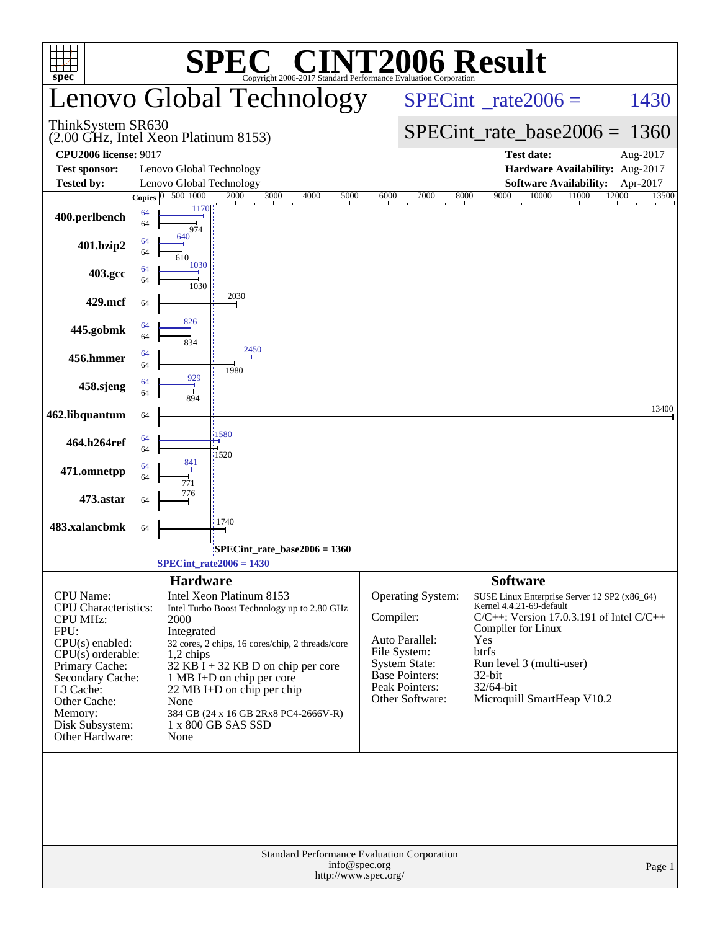| $spec^*$                                                                                                                                | Copyright 2006-2017 Standard Performance Evaluation Corporation                                                                                                                                      | <b>C® CINT2006 Result</b>                                                                                                                                                                                  |
|-----------------------------------------------------------------------------------------------------------------------------------------|------------------------------------------------------------------------------------------------------------------------------------------------------------------------------------------------------|------------------------------------------------------------------------------------------------------------------------------------------------------------------------------------------------------------|
|                                                                                                                                         | Lenovo Global Technology                                                                                                                                                                             | $SPECint^{\circ}$ <sub>_rate2006</sub> =<br>1430                                                                                                                                                           |
| ThinkSystem SR630                                                                                                                       | (2.00 GHz, Intel Xeon Platinum 8153)                                                                                                                                                                 | $SPECint_rate_base2006 = 1360$                                                                                                                                                                             |
| <b>CPU2006 license: 9017</b>                                                                                                            |                                                                                                                                                                                                      | <b>Test date:</b><br>Aug-2017                                                                                                                                                                              |
| <b>Test sponsor:</b>                                                                                                                    | Lenovo Global Technology                                                                                                                                                                             | Hardware Availability: Aug-2017                                                                                                                                                                            |
| <b>Tested by:</b>                                                                                                                       | Lenovo Global Technology                                                                                                                                                                             | <b>Software Availability:</b><br>Apr-2017                                                                                                                                                                  |
|                                                                                                                                         | 500 1000<br>2000<br>3000<br>4000<br>5000<br>Copies $ 0 $                                                                                                                                             | 10000<br>11000<br>12000<br>6000<br>7000<br>8000<br>9000<br>13500                                                                                                                                           |
| 400.perlbench                                                                                                                           | 1170<br>64<br>64<br>974                                                                                                                                                                              |                                                                                                                                                                                                            |
| 401.bzip2                                                                                                                               | 640<br>64<br>64<br>1030                                                                                                                                                                              |                                                                                                                                                                                                            |
| 403.gcc                                                                                                                                 | 64<br>64<br>1030                                                                                                                                                                                     |                                                                                                                                                                                                            |
| 429.mcf                                                                                                                                 | 2030<br>64<br>826                                                                                                                                                                                    |                                                                                                                                                                                                            |
| 445.gobmk                                                                                                                               | 64<br>64<br>834<br>2450<br>64                                                                                                                                                                        |                                                                                                                                                                                                            |
| 456.hmmer                                                                                                                               | 64<br>1980                                                                                                                                                                                           |                                                                                                                                                                                                            |
| 458.sjeng                                                                                                                               | 929<br>64<br>64<br>894                                                                                                                                                                               |                                                                                                                                                                                                            |
| 462.libquantum                                                                                                                          | 64                                                                                                                                                                                                   | 13400                                                                                                                                                                                                      |
| 464.h264ref                                                                                                                             | 1580<br>64<br>64<br>:1520                                                                                                                                                                            |                                                                                                                                                                                                            |
| 471.omnetpp                                                                                                                             | 64<br>64<br>776                                                                                                                                                                                      |                                                                                                                                                                                                            |
| 473.astar                                                                                                                               | 64<br>1740                                                                                                                                                                                           |                                                                                                                                                                                                            |
| 483.xalancbmk                                                                                                                           | 64                                                                                                                                                                                                   |                                                                                                                                                                                                            |
|                                                                                                                                         | $SPECint_rate_base2006 = 1360$<br>$SPECint_rate2006 = 1430$                                                                                                                                          |                                                                                                                                                                                                            |
|                                                                                                                                         | <b>Hardware</b>                                                                                                                                                                                      | <b>Software</b>                                                                                                                                                                                            |
| <b>CPU</b> Name:<br><b>CPU</b> Characteristics:<br><b>CPU MHz:</b><br>FPU:<br>$CPU(s)$ enabled:                                         | Intel Xeon Platinum 8153<br>Intel Turbo Boost Technology up to 2.80 GHz<br>2000<br>Integrated<br>32 cores, 2 chips, 16 cores/chip, 2 threads/core                                                    | Operating System:<br>SUSE Linux Enterprise Server 12 SP2 (x86_64)<br>Kernel 4.4.21-69-default<br>Compiler:<br>$C/C++$ : Version 17.0.3.191 of Intel $C/C++$<br>Compiler for Linux<br>Auto Parallel:<br>Yes |
| $CPU(s)$ orderable:<br>Primary Cache:<br>Secondary Cache:<br>L3 Cache:<br>Other Cache:<br>Memory:<br>Disk Subsystem:<br>Other Hardware: | $1,2$ chips<br>$32$ KB $\bar{1}$ + 32 KB D on chip per core<br>1 MB I+D on chip per core<br>22 MB I+D on chip per chip<br>None<br>384 GB (24 x 16 GB 2Rx8 PC4-2666V-R)<br>1 x 800 GB SAS SSD<br>None | btrfs<br>File System:<br><b>System State:</b><br>Run level 3 (multi-user)<br><b>Base Pointers:</b><br>32-bit<br>Peak Pointers:<br>32/64-bit<br>Microquill SmartHeap V10.2<br>Other Software:               |
|                                                                                                                                         | Standard Performance Evaluation Corporation<br>info@spec.org<br>http://www.spec.org/                                                                                                                 | Page 1                                                                                                                                                                                                     |
|                                                                                                                                         |                                                                                                                                                                                                      |                                                                                                                                                                                                            |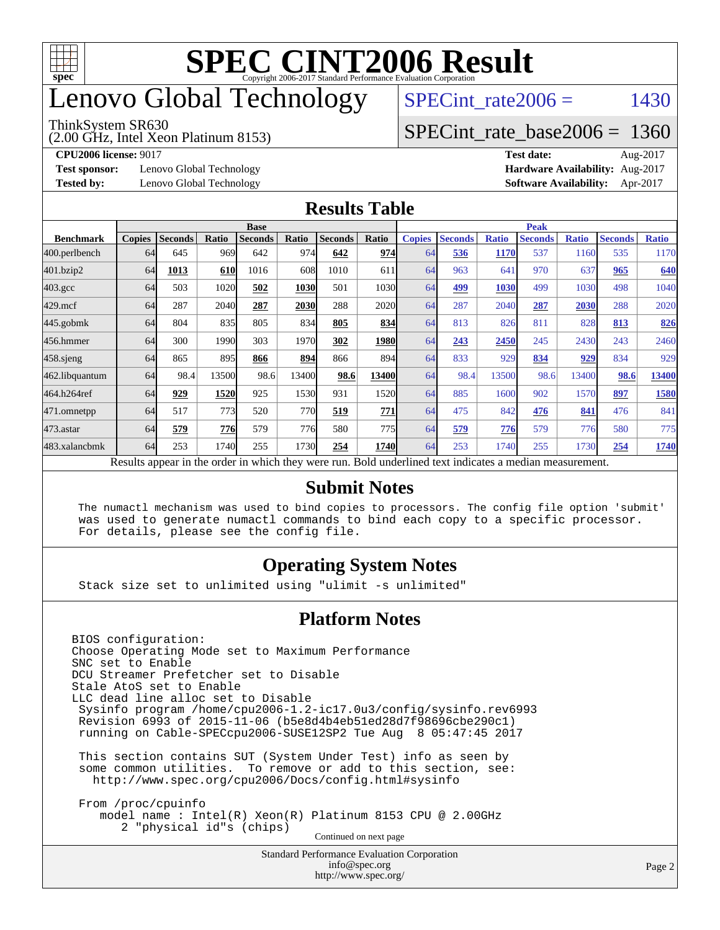

## enovo Global Technology

#### ThinkSystem SR630

(2.00 GHz, Intel Xeon Platinum 8153)

SPECint rate $2006 = 1430$ 

#### [SPECint\\_rate\\_base2006 =](http://www.spec.org/auto/cpu2006/Docs/result-fields.html#SPECintratebase2006) 1360

**[Test sponsor:](http://www.spec.org/auto/cpu2006/Docs/result-fields.html#Testsponsor)** Lenovo Global Technology **[Hardware Availability:](http://www.spec.org/auto/cpu2006/Docs/result-fields.html#HardwareAvailability)** Aug-2017

**[CPU2006 license:](http://www.spec.org/auto/cpu2006/Docs/result-fields.html#CPU2006license)** 9017 **[Test date:](http://www.spec.org/auto/cpu2006/Docs/result-fields.html#Testdate)** Aug-2017 **[Tested by:](http://www.spec.org/auto/cpu2006/Docs/result-fields.html#Testedby)** Lenovo Global Technology **[Software Availability:](http://www.spec.org/auto/cpu2006/Docs/result-fields.html#SoftwareAvailability)** Apr-2017

#### **[Results Table](http://www.spec.org/auto/cpu2006/Docs/result-fields.html#ResultsTable)**

|                                                                                                          | <b>Base</b>   |                |       |                |       |                |       | <b>Peak</b>   |                |              |                |              |                |              |
|----------------------------------------------------------------------------------------------------------|---------------|----------------|-------|----------------|-------|----------------|-------|---------------|----------------|--------------|----------------|--------------|----------------|--------------|
| <b>Benchmark</b>                                                                                         | <b>Copies</b> | <b>Seconds</b> | Ratio | <b>Seconds</b> | Ratio | <b>Seconds</b> | Ratio | <b>Copies</b> | <b>Seconds</b> | <b>Ratio</b> | <b>Seconds</b> | <b>Ratio</b> | <b>Seconds</b> | <b>Ratio</b> |
| 400.perlbench                                                                                            | 64            | 645            | 969   | 642            | 974I  | 642            | 974   | 64            | 536            | 1170         | 537            | 1160         | 535            | 1170         |
| 401.bzip2                                                                                                | 64            | 1013           | 610   | 1016           | 608   | 1010           | 611   | 64            | 963            | 641          | 970            | 637          | 965            | 640          |
| $403.\mathrm{gcc}$                                                                                       | 64            | 503            | 1020  | 502            | 1030  | 501            | 1030l | 64            | 499            | 1030         | 499            | 1030         | 498            | 1040         |
| $429$ .mcf                                                                                               | 64            | 287            | 2040  | 287            | 2030  | 288            | 2020  | 64            | 287            | 2040         | 287            | 2030         | 288            | 2020         |
| $445$ .gobmk                                                                                             | 64            | 804            | 835   | 805            | 834   | 805            | 834   | 64            | 813            | 826          | 811            | 828          | 813            | 826          |
| 456.hmmer                                                                                                | 64            | 300            | 1990  | 303            | 1970  | 302            | 1980  | 64            | 243            | 2450         | 245            | 2430         | 243            | 2460         |
| $458$ .sjeng                                                                                             | 64            | 865            | 895   | 866            | 894   | 866            | 894   | 64            | 833            | 929          | 834            | 929          | 834            | 929          |
| 462.libquantum                                                                                           | 64            | 98.4           | 13500 | 98.6           | 13400 | 98.6           | 13400 | 64            | 98.4           | 13500        | 98.6           | 13400        | 98.6           | 13400        |
| 464.h264ref                                                                                              | 64            | 929            | 1520  | 925            | 1530  | 931            | 1520  | 64            | 885            | 1600         | 902            | 1570         | 897            | 1580         |
| 471.omnetpp                                                                                              | 64            | 517            | 773   | 520            | 770   | 519            | 771   | 64            | 475            | 842          | 476            | 841          | 476            | 841          |
| $473$ . astar                                                                                            | 64            | 579            | 776   | 579            | 776   | 580            | 775   | 64            | 579            | 776          | 579            | 776          | 580            | 775          |
| 483.xalancbmk                                                                                            | 64            | 253            | 1740  | 255            | 1730  | 254            | 1740  | 64            | 253            | 1740         | 255            | 1730         | 254            | 1740         |
| Results appear in the order in which they were run. Bold underlined text indicates a median measurement. |               |                |       |                |       |                |       |               |                |              |                |              |                |              |

#### **[Submit Notes](http://www.spec.org/auto/cpu2006/Docs/result-fields.html#SubmitNotes)**

 The numactl mechanism was used to bind copies to processors. The config file option 'submit' was used to generate numactl commands to bind each copy to a specific processor. For details, please see the config file.

#### **[Operating System Notes](http://www.spec.org/auto/cpu2006/Docs/result-fields.html#OperatingSystemNotes)**

Stack size set to unlimited using "ulimit -s unlimited"

#### **[Platform Notes](http://www.spec.org/auto/cpu2006/Docs/result-fields.html#PlatformNotes)**

<http://www.spec.org/>

Standard Performance Evaluation Corporation [info@spec.org](mailto:info@spec.org) BIOS configuration: Choose Operating Mode set to Maximum Performance SNC set to Enable DCU Streamer Prefetcher set to Disable Stale AtoS set to Enable LLC dead line alloc set to Disable Sysinfo program /home/cpu2006-1.2-ic17.0u3/config/sysinfo.rev6993 Revision 6993 of 2015-11-06 (b5e8d4b4eb51ed28d7f98696cbe290c1) running on Cable-SPECcpu2006-SUSE12SP2 Tue Aug 8 05:47:45 2017 This section contains SUT (System Under Test) info as seen by some common utilities. To remove or add to this section, see: <http://www.spec.org/cpu2006/Docs/config.html#sysinfo> From /proc/cpuinfo model name : Intel(R) Xeon(R) Platinum 8153 CPU @ 2.00GHz 2 "physical id"s (chips) Continued on next page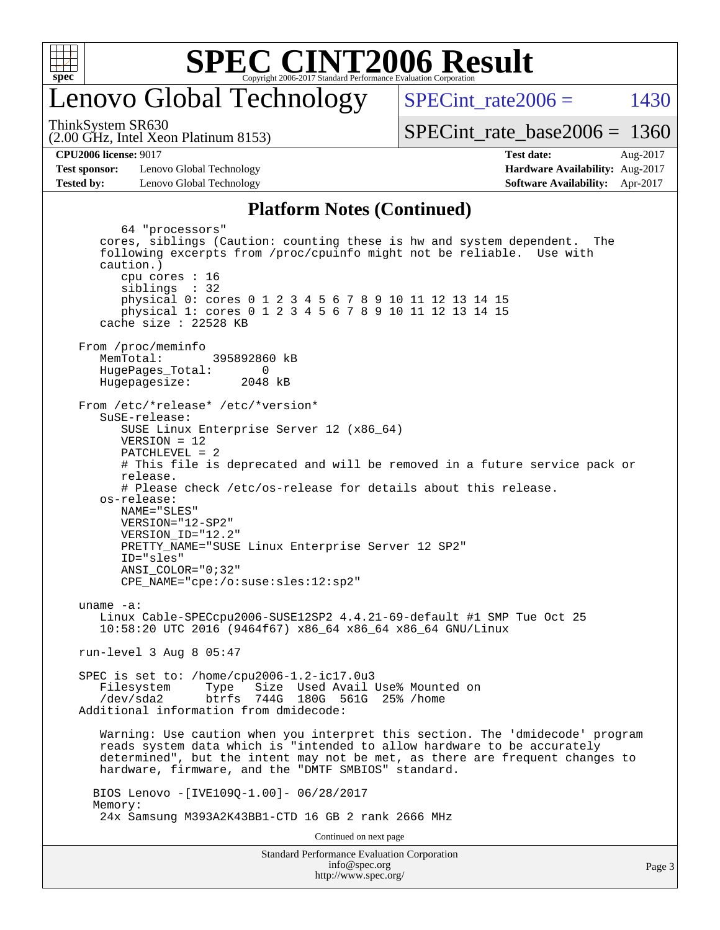

### enovo Global Technology

SPECint rate  $2006 = 1430$ 

(2.00 GHz, Intel Xeon Platinum 8153) ThinkSystem SR630

[SPECint\\_rate\\_base2006 =](http://www.spec.org/auto/cpu2006/Docs/result-fields.html#SPECintratebase2006) 1360

**[Test sponsor:](http://www.spec.org/auto/cpu2006/Docs/result-fields.html#Testsponsor)** Lenovo Global Technology **[Hardware Availability:](http://www.spec.org/auto/cpu2006/Docs/result-fields.html#HardwareAvailability)** Aug-2017 **[Tested by:](http://www.spec.org/auto/cpu2006/Docs/result-fields.html#Testedby)** Lenovo Global Technology **[Software Availability:](http://www.spec.org/auto/cpu2006/Docs/result-fields.html#SoftwareAvailability)** Apr-2017

**[CPU2006 license:](http://www.spec.org/auto/cpu2006/Docs/result-fields.html#CPU2006license)** 9017 **[Test date:](http://www.spec.org/auto/cpu2006/Docs/result-fields.html#Testdate)** Aug-2017

#### **[Platform Notes \(Continued\)](http://www.spec.org/auto/cpu2006/Docs/result-fields.html#PlatformNotes)**

Standard Performance Evaluation Corporation [info@spec.org](mailto:info@spec.org) 64 "processors" cores, siblings (Caution: counting these is hw and system dependent. The following excerpts from /proc/cpuinfo might not be reliable. Use with caution.) cpu cores : 16 siblings : 32 physical 0: cores 0 1 2 3 4 5 6 7 8 9 10 11 12 13 14 15 physical 1: cores 0 1 2 3 4 5 6 7 8 9 10 11 12 13 14 15 cache size : 22528 KB From /proc/meminfo MemTotal: 395892860 kB HugePages\_Total: 0<br>Hugepagesize: 2048 kB Hugepagesize: From /etc/\*release\* /etc/\*version\* SuSE-release: SUSE Linux Enterprise Server 12 (x86\_64) VERSION = 12 PATCHLEVEL = 2 # This file is deprecated and will be removed in a future service pack or release. # Please check /etc/os-release for details about this release. os-release: NAME="SLES" VERSION="12-SP2" VERSION\_ID="12.2" PRETTY\_NAME="SUSE Linux Enterprise Server 12 SP2" ID="sles" ANSI\_COLOR="0;32" CPE\_NAME="cpe:/o:suse:sles:12:sp2" uname -a: Linux Cable-SPECcpu2006-SUSE12SP2 4.4.21-69-default #1 SMP Tue Oct 25 10:58:20 UTC 2016 (9464f67) x86\_64 x86\_64 x86\_64 GNU/Linux run-level 3 Aug 8 05:47 SPEC is set to: /home/cpu2006-1.2-ic17.0u3 Filesystem Type Size Used Avail Use% Mounted on /dev/sda2 btrfs 744G 180G 561G 25% /home Additional information from dmidecode: Warning: Use caution when you interpret this section. The 'dmidecode' program reads system data which is "intended to allow hardware to be accurately determined", but the intent may not be met, as there are frequent changes to hardware, firmware, and the "DMTF SMBIOS" standard. BIOS Lenovo -[IVE109Q-1.00]- 06/28/2017 Memory: 24x Samsung M393A2K43BB1-CTD 16 GB 2 rank 2666 MHz Continued on next page

<http://www.spec.org/>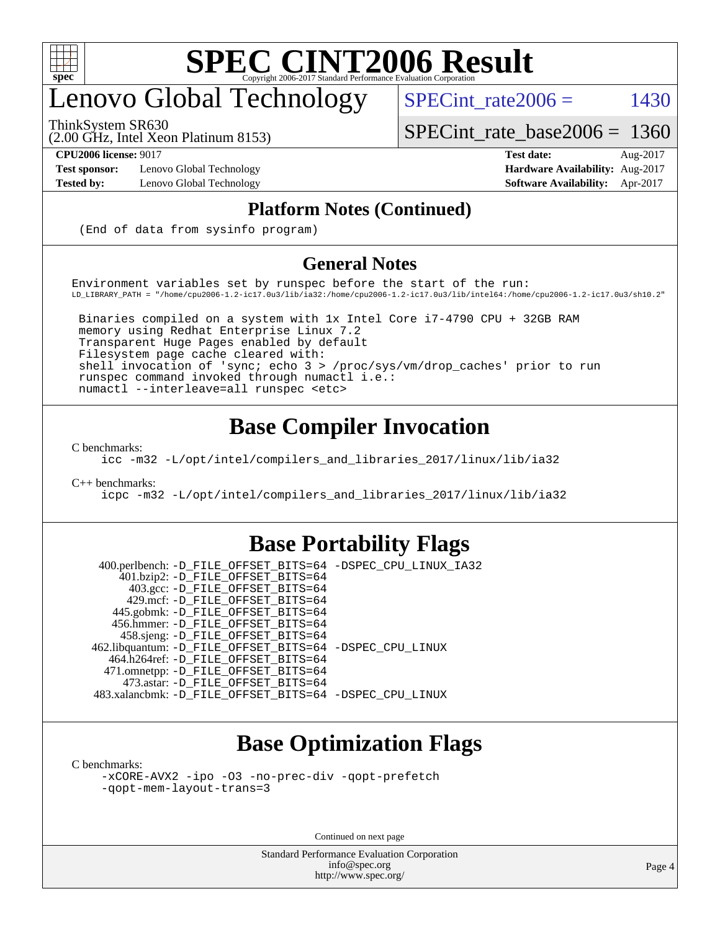

## enovo Global Technology

(2.00 GHz, Intel Xeon Platinum 8153) ThinkSystem SR630

SPECint rate $2006 =$  1430

[SPECint\\_rate\\_base2006 =](http://www.spec.org/auto/cpu2006/Docs/result-fields.html#SPECintratebase2006) 1360

**[Test sponsor:](http://www.spec.org/auto/cpu2006/Docs/result-fields.html#Testsponsor)** Lenovo Global Technology **[Hardware Availability:](http://www.spec.org/auto/cpu2006/Docs/result-fields.html#HardwareAvailability)** Aug-2017

**[CPU2006 license:](http://www.spec.org/auto/cpu2006/Docs/result-fields.html#CPU2006license)** 9017 **[Test date:](http://www.spec.org/auto/cpu2006/Docs/result-fields.html#Testdate)** Aug-2017 **[Tested by:](http://www.spec.org/auto/cpu2006/Docs/result-fields.html#Testedby)** Lenovo Global Technology **[Software Availability:](http://www.spec.org/auto/cpu2006/Docs/result-fields.html#SoftwareAvailability)** Apr-2017

#### **[Platform Notes \(Continued\)](http://www.spec.org/auto/cpu2006/Docs/result-fields.html#PlatformNotes)**

(End of data from sysinfo program)

#### **[General Notes](http://www.spec.org/auto/cpu2006/Docs/result-fields.html#GeneralNotes)**

Environment variables set by runspec before the start of the run: LD\_LIBRARY\_PATH = "/home/cpu2006-1.2-ic17.0u3/lib/ia32:/home/cpu2006-1.2-ic17.0u3/lib/intel64:/home/cpu2006-1.2-ic17.0u3/sh10.2"

 Binaries compiled on a system with 1x Intel Core i7-4790 CPU + 32GB RAM memory using Redhat Enterprise Linux 7.2 Transparent Huge Pages enabled by default Filesystem page cache cleared with: shell invocation of 'sync; echo 3 > /proc/sys/vm/drop\_caches' prior to run runspec command invoked through numactl i.e.: numactl --interleave=all runspec <etc>

### **[Base Compiler Invocation](http://www.spec.org/auto/cpu2006/Docs/result-fields.html#BaseCompilerInvocation)**

[C benchmarks](http://www.spec.org/auto/cpu2006/Docs/result-fields.html#Cbenchmarks):

[icc -m32 -L/opt/intel/compilers\\_and\\_libraries\\_2017/linux/lib/ia32](http://www.spec.org/cpu2006/results/res2017q4/cpu2006-20170918-49539.flags.html#user_CCbase_intel_icc_c29f3ff5a7ed067b11e4ec10a03f03ae)

[C++ benchmarks:](http://www.spec.org/auto/cpu2006/Docs/result-fields.html#CXXbenchmarks)

[icpc -m32 -L/opt/intel/compilers\\_and\\_libraries\\_2017/linux/lib/ia32](http://www.spec.org/cpu2006/results/res2017q4/cpu2006-20170918-49539.flags.html#user_CXXbase_intel_icpc_8c35c7808b62dab9ae41a1aa06361b6b)

#### **[Base Portability Flags](http://www.spec.org/auto/cpu2006/Docs/result-fields.html#BasePortabilityFlags)**

 400.perlbench: [-D\\_FILE\\_OFFSET\\_BITS=64](http://www.spec.org/cpu2006/results/res2017q4/cpu2006-20170918-49539.flags.html#user_basePORTABILITY400_perlbench_file_offset_bits_64_438cf9856305ebd76870a2c6dc2689ab) [-DSPEC\\_CPU\\_LINUX\\_IA32](http://www.spec.org/cpu2006/results/res2017q4/cpu2006-20170918-49539.flags.html#b400.perlbench_baseCPORTABILITY_DSPEC_CPU_LINUX_IA32) 401.bzip2: [-D\\_FILE\\_OFFSET\\_BITS=64](http://www.spec.org/cpu2006/results/res2017q4/cpu2006-20170918-49539.flags.html#user_basePORTABILITY401_bzip2_file_offset_bits_64_438cf9856305ebd76870a2c6dc2689ab) 403.gcc: [-D\\_FILE\\_OFFSET\\_BITS=64](http://www.spec.org/cpu2006/results/res2017q4/cpu2006-20170918-49539.flags.html#user_basePORTABILITY403_gcc_file_offset_bits_64_438cf9856305ebd76870a2c6dc2689ab) 429.mcf: [-D\\_FILE\\_OFFSET\\_BITS=64](http://www.spec.org/cpu2006/results/res2017q4/cpu2006-20170918-49539.flags.html#user_basePORTABILITY429_mcf_file_offset_bits_64_438cf9856305ebd76870a2c6dc2689ab) 445.gobmk: [-D\\_FILE\\_OFFSET\\_BITS=64](http://www.spec.org/cpu2006/results/res2017q4/cpu2006-20170918-49539.flags.html#user_basePORTABILITY445_gobmk_file_offset_bits_64_438cf9856305ebd76870a2c6dc2689ab) 456.hmmer: [-D\\_FILE\\_OFFSET\\_BITS=64](http://www.spec.org/cpu2006/results/res2017q4/cpu2006-20170918-49539.flags.html#user_basePORTABILITY456_hmmer_file_offset_bits_64_438cf9856305ebd76870a2c6dc2689ab) 458.sjeng: [-D\\_FILE\\_OFFSET\\_BITS=64](http://www.spec.org/cpu2006/results/res2017q4/cpu2006-20170918-49539.flags.html#user_basePORTABILITY458_sjeng_file_offset_bits_64_438cf9856305ebd76870a2c6dc2689ab) 462.libquantum: [-D\\_FILE\\_OFFSET\\_BITS=64](http://www.spec.org/cpu2006/results/res2017q4/cpu2006-20170918-49539.flags.html#user_basePORTABILITY462_libquantum_file_offset_bits_64_438cf9856305ebd76870a2c6dc2689ab) [-DSPEC\\_CPU\\_LINUX](http://www.spec.org/cpu2006/results/res2017q4/cpu2006-20170918-49539.flags.html#b462.libquantum_baseCPORTABILITY_DSPEC_CPU_LINUX) 464.h264ref: [-D\\_FILE\\_OFFSET\\_BITS=64](http://www.spec.org/cpu2006/results/res2017q4/cpu2006-20170918-49539.flags.html#user_basePORTABILITY464_h264ref_file_offset_bits_64_438cf9856305ebd76870a2c6dc2689ab) 471.omnetpp: [-D\\_FILE\\_OFFSET\\_BITS=64](http://www.spec.org/cpu2006/results/res2017q4/cpu2006-20170918-49539.flags.html#user_basePORTABILITY471_omnetpp_file_offset_bits_64_438cf9856305ebd76870a2c6dc2689ab) 473.astar: [-D\\_FILE\\_OFFSET\\_BITS=64](http://www.spec.org/cpu2006/results/res2017q4/cpu2006-20170918-49539.flags.html#user_basePORTABILITY473_astar_file_offset_bits_64_438cf9856305ebd76870a2c6dc2689ab) 483.xalancbmk: [-D\\_FILE\\_OFFSET\\_BITS=64](http://www.spec.org/cpu2006/results/res2017q4/cpu2006-20170918-49539.flags.html#user_basePORTABILITY483_xalancbmk_file_offset_bits_64_438cf9856305ebd76870a2c6dc2689ab) [-DSPEC\\_CPU\\_LINUX](http://www.spec.org/cpu2006/results/res2017q4/cpu2006-20170918-49539.flags.html#b483.xalancbmk_baseCXXPORTABILITY_DSPEC_CPU_LINUX)

### **[Base Optimization Flags](http://www.spec.org/auto/cpu2006/Docs/result-fields.html#BaseOptimizationFlags)**

[C benchmarks](http://www.spec.org/auto/cpu2006/Docs/result-fields.html#Cbenchmarks):

[-xCORE-AVX2](http://www.spec.org/cpu2006/results/res2017q4/cpu2006-20170918-49539.flags.html#user_CCbase_f-xCORE-AVX2) [-ipo](http://www.spec.org/cpu2006/results/res2017q4/cpu2006-20170918-49539.flags.html#user_CCbase_f-ipo) [-O3](http://www.spec.org/cpu2006/results/res2017q4/cpu2006-20170918-49539.flags.html#user_CCbase_f-O3) [-no-prec-div](http://www.spec.org/cpu2006/results/res2017q4/cpu2006-20170918-49539.flags.html#user_CCbase_f-no-prec-div) [-qopt-prefetch](http://www.spec.org/cpu2006/results/res2017q4/cpu2006-20170918-49539.flags.html#user_CCbase_f-qopt-prefetch) [-qopt-mem-layout-trans=3](http://www.spec.org/cpu2006/results/res2017q4/cpu2006-20170918-49539.flags.html#user_CCbase_f-qopt-mem-layout-trans_170f5be61cd2cedc9b54468c59262d5d)

Continued on next page

Standard Performance Evaluation Corporation [info@spec.org](mailto:info@spec.org) <http://www.spec.org/>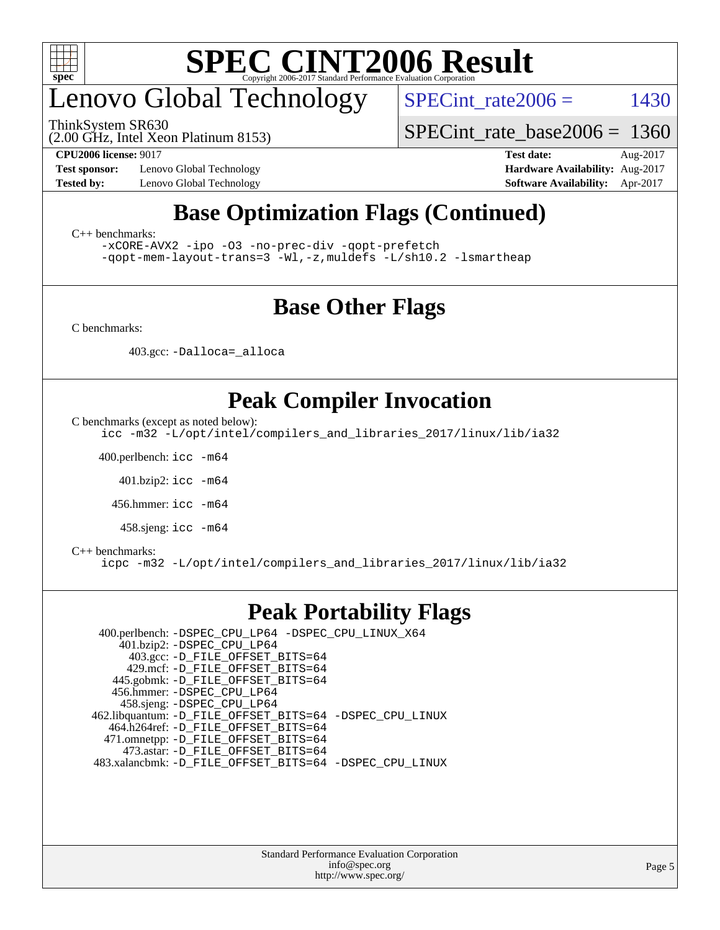

## enovo Global Technology

ThinkSystem SR630

SPECint rate $2006 =$  1430

(2.00 GHz, Intel Xeon Platinum 8153)

**[Test sponsor:](http://www.spec.org/auto/cpu2006/Docs/result-fields.html#Testsponsor)** Lenovo Global Technology **[Hardware Availability:](http://www.spec.org/auto/cpu2006/Docs/result-fields.html#HardwareAvailability)** Aug-2017

[SPECint\\_rate\\_base2006 =](http://www.spec.org/auto/cpu2006/Docs/result-fields.html#SPECintratebase2006) 1360 **[CPU2006 license:](http://www.spec.org/auto/cpu2006/Docs/result-fields.html#CPU2006license)** 9017 **[Test date:](http://www.spec.org/auto/cpu2006/Docs/result-fields.html#Testdate)** Aug-2017

**[Tested by:](http://www.spec.org/auto/cpu2006/Docs/result-fields.html#Testedby)** Lenovo Global Technology **[Software Availability:](http://www.spec.org/auto/cpu2006/Docs/result-fields.html#SoftwareAvailability)** Apr-2017

### **[Base Optimization Flags \(Continued\)](http://www.spec.org/auto/cpu2006/Docs/result-fields.html#BaseOptimizationFlags)**

[C++ benchmarks:](http://www.spec.org/auto/cpu2006/Docs/result-fields.html#CXXbenchmarks)

[-xCORE-AVX2](http://www.spec.org/cpu2006/results/res2017q4/cpu2006-20170918-49539.flags.html#user_CXXbase_f-xCORE-AVX2) [-ipo](http://www.spec.org/cpu2006/results/res2017q4/cpu2006-20170918-49539.flags.html#user_CXXbase_f-ipo) [-O3](http://www.spec.org/cpu2006/results/res2017q4/cpu2006-20170918-49539.flags.html#user_CXXbase_f-O3) [-no-prec-div](http://www.spec.org/cpu2006/results/res2017q4/cpu2006-20170918-49539.flags.html#user_CXXbase_f-no-prec-div) [-qopt-prefetch](http://www.spec.org/cpu2006/results/res2017q4/cpu2006-20170918-49539.flags.html#user_CXXbase_f-qopt-prefetch) [-qopt-mem-layout-trans=3](http://www.spec.org/cpu2006/results/res2017q4/cpu2006-20170918-49539.flags.html#user_CXXbase_f-qopt-mem-layout-trans_170f5be61cd2cedc9b54468c59262d5d) [-Wl,-z,muldefs](http://www.spec.org/cpu2006/results/res2017q4/cpu2006-20170918-49539.flags.html#user_CXXbase_link_force_multiple1_74079c344b956b9658436fd1b6dd3a8a) [-L/sh10.2 -lsmartheap](http://www.spec.org/cpu2006/results/res2017q4/cpu2006-20170918-49539.flags.html#user_CXXbase_SmartHeap_b831f2d313e2fffa6dfe3f00ffc1f1c0)

### **[Base Other Flags](http://www.spec.org/auto/cpu2006/Docs/result-fields.html#BaseOtherFlags)**

[C benchmarks](http://www.spec.org/auto/cpu2006/Docs/result-fields.html#Cbenchmarks):

403.gcc: [-Dalloca=\\_alloca](http://www.spec.org/cpu2006/results/res2017q4/cpu2006-20170918-49539.flags.html#b403.gcc_baseEXTRA_CFLAGS_Dalloca_be3056838c12de2578596ca5467af7f3)

### **[Peak Compiler Invocation](http://www.spec.org/auto/cpu2006/Docs/result-fields.html#PeakCompilerInvocation)**

[C benchmarks \(except as noted below\)](http://www.spec.org/auto/cpu2006/Docs/result-fields.html#Cbenchmarksexceptasnotedbelow):

[icc -m32 -L/opt/intel/compilers\\_and\\_libraries\\_2017/linux/lib/ia32](http://www.spec.org/cpu2006/results/res2017q4/cpu2006-20170918-49539.flags.html#user_CCpeak_intel_icc_c29f3ff5a7ed067b11e4ec10a03f03ae)

400.perlbench: [icc -m64](http://www.spec.org/cpu2006/results/res2017q4/cpu2006-20170918-49539.flags.html#user_peakCCLD400_perlbench_intel_icc_64bit_bda6cc9af1fdbb0edc3795bac97ada53)

401.bzip2: [icc -m64](http://www.spec.org/cpu2006/results/res2017q4/cpu2006-20170918-49539.flags.html#user_peakCCLD401_bzip2_intel_icc_64bit_bda6cc9af1fdbb0edc3795bac97ada53)

456.hmmer: [icc -m64](http://www.spec.org/cpu2006/results/res2017q4/cpu2006-20170918-49539.flags.html#user_peakCCLD456_hmmer_intel_icc_64bit_bda6cc9af1fdbb0edc3795bac97ada53)

458.sjeng: [icc -m64](http://www.spec.org/cpu2006/results/res2017q4/cpu2006-20170918-49539.flags.html#user_peakCCLD458_sjeng_intel_icc_64bit_bda6cc9af1fdbb0edc3795bac97ada53)

#### [C++ benchmarks:](http://www.spec.org/auto/cpu2006/Docs/result-fields.html#CXXbenchmarks)

[icpc -m32 -L/opt/intel/compilers\\_and\\_libraries\\_2017/linux/lib/ia32](http://www.spec.org/cpu2006/results/res2017q4/cpu2006-20170918-49539.flags.html#user_CXXpeak_intel_icpc_8c35c7808b62dab9ae41a1aa06361b6b)

#### **[Peak Portability Flags](http://www.spec.org/auto/cpu2006/Docs/result-fields.html#PeakPortabilityFlags)**

 400.perlbench: [-DSPEC\\_CPU\\_LP64](http://www.spec.org/cpu2006/results/res2017q4/cpu2006-20170918-49539.flags.html#b400.perlbench_peakCPORTABILITY_DSPEC_CPU_LP64) [-DSPEC\\_CPU\\_LINUX\\_X64](http://www.spec.org/cpu2006/results/res2017q4/cpu2006-20170918-49539.flags.html#b400.perlbench_peakCPORTABILITY_DSPEC_CPU_LINUX_X64) 401.bzip2: [-DSPEC\\_CPU\\_LP64](http://www.spec.org/cpu2006/results/res2017q4/cpu2006-20170918-49539.flags.html#suite_peakCPORTABILITY401_bzip2_DSPEC_CPU_LP64) 403.gcc: [-D\\_FILE\\_OFFSET\\_BITS=64](http://www.spec.org/cpu2006/results/res2017q4/cpu2006-20170918-49539.flags.html#user_peakPORTABILITY403_gcc_file_offset_bits_64_438cf9856305ebd76870a2c6dc2689ab) 429.mcf: [-D\\_FILE\\_OFFSET\\_BITS=64](http://www.spec.org/cpu2006/results/res2017q4/cpu2006-20170918-49539.flags.html#user_peakPORTABILITY429_mcf_file_offset_bits_64_438cf9856305ebd76870a2c6dc2689ab) 445.gobmk: [-D\\_FILE\\_OFFSET\\_BITS=64](http://www.spec.org/cpu2006/results/res2017q4/cpu2006-20170918-49539.flags.html#user_peakPORTABILITY445_gobmk_file_offset_bits_64_438cf9856305ebd76870a2c6dc2689ab) 456.hmmer: [-DSPEC\\_CPU\\_LP64](http://www.spec.org/cpu2006/results/res2017q4/cpu2006-20170918-49539.flags.html#suite_peakCPORTABILITY456_hmmer_DSPEC_CPU_LP64) 458.sjeng: [-DSPEC\\_CPU\\_LP64](http://www.spec.org/cpu2006/results/res2017q4/cpu2006-20170918-49539.flags.html#suite_peakCPORTABILITY458_sjeng_DSPEC_CPU_LP64) 462.libquantum: [-D\\_FILE\\_OFFSET\\_BITS=64](http://www.spec.org/cpu2006/results/res2017q4/cpu2006-20170918-49539.flags.html#user_peakPORTABILITY462_libquantum_file_offset_bits_64_438cf9856305ebd76870a2c6dc2689ab) [-DSPEC\\_CPU\\_LINUX](http://www.spec.org/cpu2006/results/res2017q4/cpu2006-20170918-49539.flags.html#b462.libquantum_peakCPORTABILITY_DSPEC_CPU_LINUX) 464.h264ref: [-D\\_FILE\\_OFFSET\\_BITS=64](http://www.spec.org/cpu2006/results/res2017q4/cpu2006-20170918-49539.flags.html#user_peakPORTABILITY464_h264ref_file_offset_bits_64_438cf9856305ebd76870a2c6dc2689ab) 471.omnetpp: [-D\\_FILE\\_OFFSET\\_BITS=64](http://www.spec.org/cpu2006/results/res2017q4/cpu2006-20170918-49539.flags.html#user_peakPORTABILITY471_omnetpp_file_offset_bits_64_438cf9856305ebd76870a2c6dc2689ab) 473.astar: [-D\\_FILE\\_OFFSET\\_BITS=64](http://www.spec.org/cpu2006/results/res2017q4/cpu2006-20170918-49539.flags.html#user_peakPORTABILITY473_astar_file_offset_bits_64_438cf9856305ebd76870a2c6dc2689ab) 483.xalancbmk: [-D\\_FILE\\_OFFSET\\_BITS=64](http://www.spec.org/cpu2006/results/res2017q4/cpu2006-20170918-49539.flags.html#user_peakPORTABILITY483_xalancbmk_file_offset_bits_64_438cf9856305ebd76870a2c6dc2689ab) [-DSPEC\\_CPU\\_LINUX](http://www.spec.org/cpu2006/results/res2017q4/cpu2006-20170918-49539.flags.html#b483.xalancbmk_peakCXXPORTABILITY_DSPEC_CPU_LINUX)

> Standard Performance Evaluation Corporation [info@spec.org](mailto:info@spec.org) <http://www.spec.org/>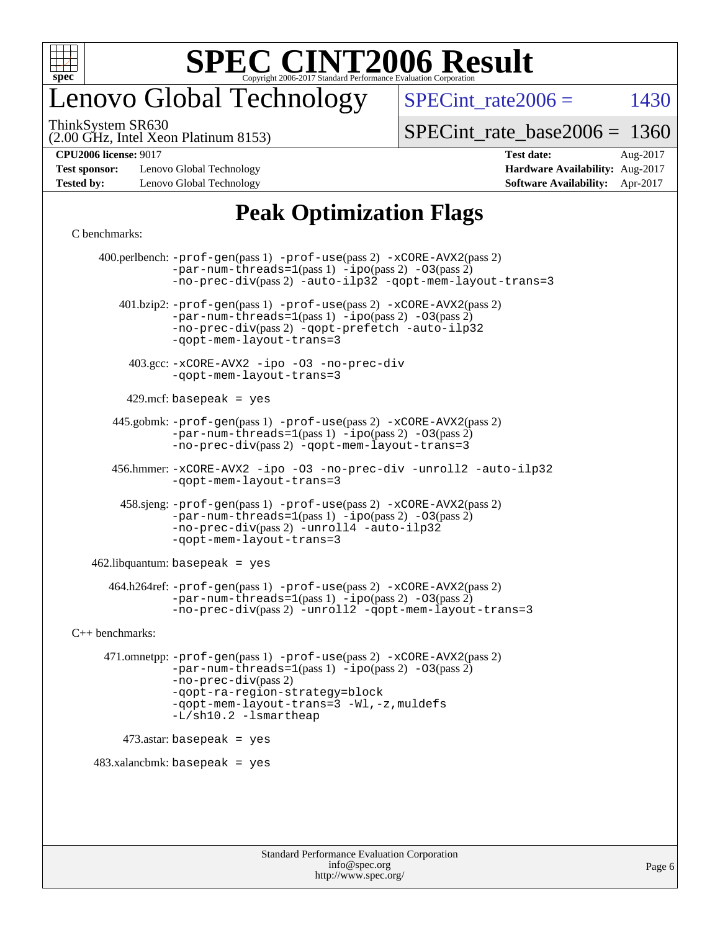

## enovo Global Technology

SPECint rate $2006 =$  1430

(2.00 GHz, Intel Xeon Platinum 8153) ThinkSystem SR630

[SPECint\\_rate\\_base2006 =](http://www.spec.org/auto/cpu2006/Docs/result-fields.html#SPECintratebase2006) 1360

**[CPU2006 license:](http://www.spec.org/auto/cpu2006/Docs/result-fields.html#CPU2006license)** 9017 **[Test date:](http://www.spec.org/auto/cpu2006/Docs/result-fields.html#Testdate)** Aug-2017

**[Test sponsor:](http://www.spec.org/auto/cpu2006/Docs/result-fields.html#Testsponsor)** Lenovo Global Technology **[Hardware Availability:](http://www.spec.org/auto/cpu2006/Docs/result-fields.html#HardwareAvailability)** Aug-2017

## **[Tested by:](http://www.spec.org/auto/cpu2006/Docs/result-fields.html#Testedby)** Lenovo Global Technology **[Software Availability:](http://www.spec.org/auto/cpu2006/Docs/result-fields.html#SoftwareAvailability)** Apr-2017

### **[Peak Optimization Flags](http://www.spec.org/auto/cpu2006/Docs/result-fields.html#PeakOptimizationFlags)**

#### [C benchmarks](http://www.spec.org/auto/cpu2006/Docs/result-fields.html#Cbenchmarks):

 400.perlbench: [-prof-gen](http://www.spec.org/cpu2006/results/res2017q4/cpu2006-20170918-49539.flags.html#user_peakPASS1_CFLAGSPASS1_LDCFLAGS400_perlbench_prof_gen_e43856698f6ca7b7e442dfd80e94a8fc)(pass 1) [-prof-use](http://www.spec.org/cpu2006/results/res2017q4/cpu2006-20170918-49539.flags.html#user_peakPASS2_CFLAGSPASS2_LDCFLAGS400_perlbench_prof_use_bccf7792157ff70d64e32fe3e1250b55)(pass 2) [-xCORE-AVX2](http://www.spec.org/cpu2006/results/res2017q4/cpu2006-20170918-49539.flags.html#user_peakPASS2_CFLAGSPASS2_LDCFLAGS400_perlbench_f-xCORE-AVX2)(pass 2)  $-par-num-threads=1(pass 1) -ipo(pass 2) -O3(pass 2)$  $-par-num-threads=1(pass 1) -ipo(pass 2) -O3(pass 2)$  $-par-num-threads=1(pass 1) -ipo(pass 2) -O3(pass 2)$  $-par-num-threads=1(pass 1) -ipo(pass 2) -O3(pass 2)$  $-par-num-threads=1(pass 1) -ipo(pass 2) -O3(pass 2)$  $-par-num-threads=1(pass 1) -ipo(pass 2) -O3(pass 2)$ [-no-prec-div](http://www.spec.org/cpu2006/results/res2017q4/cpu2006-20170918-49539.flags.html#user_peakPASS2_CFLAGSPASS2_LDCFLAGS400_perlbench_f-no-prec-div)(pass 2) [-auto-ilp32](http://www.spec.org/cpu2006/results/res2017q4/cpu2006-20170918-49539.flags.html#user_peakCOPTIMIZE400_perlbench_f-auto-ilp32) [-qopt-mem-layout-trans=3](http://www.spec.org/cpu2006/results/res2017q4/cpu2006-20170918-49539.flags.html#user_peakCOPTIMIZE400_perlbench_f-qopt-mem-layout-trans_170f5be61cd2cedc9b54468c59262d5d) 401.bzip2: [-prof-gen](http://www.spec.org/cpu2006/results/res2017q4/cpu2006-20170918-49539.flags.html#user_peakPASS1_CFLAGSPASS1_LDCFLAGS401_bzip2_prof_gen_e43856698f6ca7b7e442dfd80e94a8fc)(pass 1) [-prof-use](http://www.spec.org/cpu2006/results/res2017q4/cpu2006-20170918-49539.flags.html#user_peakPASS2_CFLAGSPASS2_LDCFLAGS401_bzip2_prof_use_bccf7792157ff70d64e32fe3e1250b55)(pass 2) [-xCORE-AVX2](http://www.spec.org/cpu2006/results/res2017q4/cpu2006-20170918-49539.flags.html#user_peakPASS2_CFLAGSPASS2_LDCFLAGS401_bzip2_f-xCORE-AVX2)(pass 2) [-par-num-threads=1](http://www.spec.org/cpu2006/results/res2017q4/cpu2006-20170918-49539.flags.html#user_peakPASS1_CFLAGSPASS1_LDCFLAGS401_bzip2_par_num_threads_786a6ff141b4e9e90432e998842df6c2)(pass 1) [-ipo](http://www.spec.org/cpu2006/results/res2017q4/cpu2006-20170918-49539.flags.html#user_peakPASS2_CFLAGSPASS2_LDCFLAGS401_bzip2_f-ipo)(pass 2) [-O3](http://www.spec.org/cpu2006/results/res2017q4/cpu2006-20170918-49539.flags.html#user_peakPASS2_CFLAGSPASS2_LDCFLAGS401_bzip2_f-O3)(pass 2) [-no-prec-div](http://www.spec.org/cpu2006/results/res2017q4/cpu2006-20170918-49539.flags.html#user_peakPASS2_CFLAGSPASS2_LDCFLAGS401_bzip2_f-no-prec-div)(pass 2) [-qopt-prefetch](http://www.spec.org/cpu2006/results/res2017q4/cpu2006-20170918-49539.flags.html#user_peakCOPTIMIZE401_bzip2_f-qopt-prefetch) [-auto-ilp32](http://www.spec.org/cpu2006/results/res2017q4/cpu2006-20170918-49539.flags.html#user_peakCOPTIMIZE401_bzip2_f-auto-ilp32) [-qopt-mem-layout-trans=3](http://www.spec.org/cpu2006/results/res2017q4/cpu2006-20170918-49539.flags.html#user_peakCOPTIMIZE401_bzip2_f-qopt-mem-layout-trans_170f5be61cd2cedc9b54468c59262d5d) 403.gcc: [-xCORE-AVX2](http://www.spec.org/cpu2006/results/res2017q4/cpu2006-20170918-49539.flags.html#user_peakOPTIMIZE403_gcc_f-xCORE-AVX2) [-ipo](http://www.spec.org/cpu2006/results/res2017q4/cpu2006-20170918-49539.flags.html#user_peakOPTIMIZE403_gcc_f-ipo) [-O3](http://www.spec.org/cpu2006/results/res2017q4/cpu2006-20170918-49539.flags.html#user_peakOPTIMIZE403_gcc_f-O3) [-no-prec-div](http://www.spec.org/cpu2006/results/res2017q4/cpu2006-20170918-49539.flags.html#user_peakOPTIMIZE403_gcc_f-no-prec-div) [-qopt-mem-layout-trans=3](http://www.spec.org/cpu2006/results/res2017q4/cpu2006-20170918-49539.flags.html#user_peakCOPTIMIZE403_gcc_f-qopt-mem-layout-trans_170f5be61cd2cedc9b54468c59262d5d)  $429$ .mcf: basepeak = yes 445.gobmk: [-prof-gen](http://www.spec.org/cpu2006/results/res2017q4/cpu2006-20170918-49539.flags.html#user_peakPASS1_CFLAGSPASS1_LDCFLAGS445_gobmk_prof_gen_e43856698f6ca7b7e442dfd80e94a8fc)(pass 1) [-prof-use](http://www.spec.org/cpu2006/results/res2017q4/cpu2006-20170918-49539.flags.html#user_peakPASS2_CFLAGSPASS2_LDCFLAGSPASS2_LDFLAGS445_gobmk_prof_use_bccf7792157ff70d64e32fe3e1250b55)(pass 2) [-xCORE-AVX2](http://www.spec.org/cpu2006/results/res2017q4/cpu2006-20170918-49539.flags.html#user_peakPASS2_CFLAGSPASS2_LDCFLAGSPASS2_LDFLAGS445_gobmk_f-xCORE-AVX2)(pass 2)  $-par-num-threads=1(pass 1) -ipo(pass 2) -O3(pass 2)$  $-par-num-threads=1(pass 1) -ipo(pass 2) -O3(pass 2)$  $-par-num-threads=1(pass 1) -ipo(pass 2) -O3(pass 2)$  $-par-num-threads=1(pass 1) -ipo(pass 2) -O3(pass 2)$  $-par-num-threads=1(pass 1) -ipo(pass 2) -O3(pass 2)$  $-par-num-threads=1(pass 1) -ipo(pass 2) -O3(pass 2)$ [-no-prec-div](http://www.spec.org/cpu2006/results/res2017q4/cpu2006-20170918-49539.flags.html#user_peakPASS2_LDCFLAGS445_gobmk_f-no-prec-div)(pass 2) [-qopt-mem-layout-trans=3](http://www.spec.org/cpu2006/results/res2017q4/cpu2006-20170918-49539.flags.html#user_peakCOPTIMIZE445_gobmk_f-qopt-mem-layout-trans_170f5be61cd2cedc9b54468c59262d5d) 456.hmmer: [-xCORE-AVX2](http://www.spec.org/cpu2006/results/res2017q4/cpu2006-20170918-49539.flags.html#user_peakOPTIMIZE456_hmmer_f-xCORE-AVX2) [-ipo](http://www.spec.org/cpu2006/results/res2017q4/cpu2006-20170918-49539.flags.html#user_peakOPTIMIZE456_hmmer_f-ipo) [-O3](http://www.spec.org/cpu2006/results/res2017q4/cpu2006-20170918-49539.flags.html#user_peakOPTIMIZE456_hmmer_f-O3) [-no-prec-div](http://www.spec.org/cpu2006/results/res2017q4/cpu2006-20170918-49539.flags.html#user_peakOPTIMIZE456_hmmer_f-no-prec-div) [-unroll2](http://www.spec.org/cpu2006/results/res2017q4/cpu2006-20170918-49539.flags.html#user_peakCOPTIMIZE456_hmmer_f-unroll_784dae83bebfb236979b41d2422d7ec2) [-auto-ilp32](http://www.spec.org/cpu2006/results/res2017q4/cpu2006-20170918-49539.flags.html#user_peakCOPTIMIZE456_hmmer_f-auto-ilp32) [-qopt-mem-layout-trans=3](http://www.spec.org/cpu2006/results/res2017q4/cpu2006-20170918-49539.flags.html#user_peakCOPTIMIZE456_hmmer_f-qopt-mem-layout-trans_170f5be61cd2cedc9b54468c59262d5d) 458.sjeng: [-prof-gen](http://www.spec.org/cpu2006/results/res2017q4/cpu2006-20170918-49539.flags.html#user_peakPASS1_CFLAGSPASS1_LDCFLAGS458_sjeng_prof_gen_e43856698f6ca7b7e442dfd80e94a8fc)(pass 1) [-prof-use](http://www.spec.org/cpu2006/results/res2017q4/cpu2006-20170918-49539.flags.html#user_peakPASS2_CFLAGSPASS2_LDCFLAGS458_sjeng_prof_use_bccf7792157ff70d64e32fe3e1250b55)(pass 2) [-xCORE-AVX2](http://www.spec.org/cpu2006/results/res2017q4/cpu2006-20170918-49539.flags.html#user_peakPASS2_CFLAGSPASS2_LDCFLAGS458_sjeng_f-xCORE-AVX2)(pass 2)  $-par-num-threads=1(pass 1) -ipo(pass 2) -O3(pass 2)$  $-par-num-threads=1(pass 1) -ipo(pass 2) -O3(pass 2)$  $-par-num-threads=1(pass 1) -ipo(pass 2) -O3(pass 2)$  $-par-num-threads=1(pass 1) -ipo(pass 2) -O3(pass 2)$  $-par-num-threads=1(pass 1) -ipo(pass 2) -O3(pass 2)$  $-par-num-threads=1(pass 1) -ipo(pass 2) -O3(pass 2)$ [-no-prec-div](http://www.spec.org/cpu2006/results/res2017q4/cpu2006-20170918-49539.flags.html#user_peakPASS2_CFLAGSPASS2_LDCFLAGS458_sjeng_f-no-prec-div)(pass 2) [-unroll4](http://www.spec.org/cpu2006/results/res2017q4/cpu2006-20170918-49539.flags.html#user_peakCOPTIMIZE458_sjeng_f-unroll_4e5e4ed65b7fd20bdcd365bec371b81f) [-auto-ilp32](http://www.spec.org/cpu2006/results/res2017q4/cpu2006-20170918-49539.flags.html#user_peakCOPTIMIZE458_sjeng_f-auto-ilp32) [-qopt-mem-layout-trans=3](http://www.spec.org/cpu2006/results/res2017q4/cpu2006-20170918-49539.flags.html#user_peakCOPTIMIZE458_sjeng_f-qopt-mem-layout-trans_170f5be61cd2cedc9b54468c59262d5d)  $462$ .libquantum: basepeak = yes 464.h264ref: [-prof-gen](http://www.spec.org/cpu2006/results/res2017q4/cpu2006-20170918-49539.flags.html#user_peakPASS1_CFLAGSPASS1_LDCFLAGS464_h264ref_prof_gen_e43856698f6ca7b7e442dfd80e94a8fc)(pass 1) [-prof-use](http://www.spec.org/cpu2006/results/res2017q4/cpu2006-20170918-49539.flags.html#user_peakPASS2_CFLAGSPASS2_LDCFLAGS464_h264ref_prof_use_bccf7792157ff70d64e32fe3e1250b55)(pass 2) [-xCORE-AVX2](http://www.spec.org/cpu2006/results/res2017q4/cpu2006-20170918-49539.flags.html#user_peakPASS2_CFLAGSPASS2_LDCFLAGS464_h264ref_f-xCORE-AVX2)(pass 2)  $-par-num-threads=1(pass 1) -ipo(pass 2) -O3(pass 2)$  $-par-num-threads=1(pass 1) -ipo(pass 2) -O3(pass 2)$  $-par-num-threads=1(pass 1) -ipo(pass 2) -O3(pass 2)$  $-par-num-threads=1(pass 1) -ipo(pass 2) -O3(pass 2)$  $-par-num-threads=1(pass 1) -ipo(pass 2) -O3(pass 2)$  $-par-num-threads=1(pass 1) -ipo(pass 2) -O3(pass 2)$ [-no-prec-div](http://www.spec.org/cpu2006/results/res2017q4/cpu2006-20170918-49539.flags.html#user_peakPASS2_CFLAGSPASS2_LDCFLAGS464_h264ref_f-no-prec-div)(pass 2) [-unroll2](http://www.spec.org/cpu2006/results/res2017q4/cpu2006-20170918-49539.flags.html#user_peakCOPTIMIZE464_h264ref_f-unroll_784dae83bebfb236979b41d2422d7ec2) [-qopt-mem-layout-trans=3](http://www.spec.org/cpu2006/results/res2017q4/cpu2006-20170918-49539.flags.html#user_peakCOPTIMIZE464_h264ref_f-qopt-mem-layout-trans_170f5be61cd2cedc9b54468c59262d5d) [C++ benchmarks:](http://www.spec.org/auto/cpu2006/Docs/result-fields.html#CXXbenchmarks) 471.omnetpp: [-prof-gen](http://www.spec.org/cpu2006/results/res2017q4/cpu2006-20170918-49539.flags.html#user_peakPASS1_CXXFLAGSPASS1_LDCXXFLAGS471_omnetpp_prof_gen_e43856698f6ca7b7e442dfd80e94a8fc)(pass 1) [-prof-use](http://www.spec.org/cpu2006/results/res2017q4/cpu2006-20170918-49539.flags.html#user_peakPASS2_CXXFLAGSPASS2_LDCXXFLAGS471_omnetpp_prof_use_bccf7792157ff70d64e32fe3e1250b55)(pass 2) [-xCORE-AVX2](http://www.spec.org/cpu2006/results/res2017q4/cpu2006-20170918-49539.flags.html#user_peakPASS2_CXXFLAGSPASS2_LDCXXFLAGS471_omnetpp_f-xCORE-AVX2)(pass 2)  $-par-num-threads=1(pass 1) -ipo(pass 2) -O3(pass 2)$  $-par-num-threads=1(pass 1) -ipo(pass 2) -O3(pass 2)$  $-par-num-threads=1(pass 1) -ipo(pass 2) -O3(pass 2)$  $-par-num-threads=1(pass 1) -ipo(pass 2) -O3(pass 2)$  $-par-num-threads=1(pass 1) -ipo(pass 2) -O3(pass 2)$  $-par-num-threads=1(pass 1) -ipo(pass 2) -O3(pass 2)$ [-no-prec-div](http://www.spec.org/cpu2006/results/res2017q4/cpu2006-20170918-49539.flags.html#user_peakPASS2_CXXFLAGSPASS2_LDCXXFLAGS471_omnetpp_f-no-prec-div)(pass 2) [-qopt-ra-region-strategy=block](http://www.spec.org/cpu2006/results/res2017q4/cpu2006-20170918-49539.flags.html#user_peakCXXOPTIMIZE471_omnetpp_f-qopt-ra-region-strategy_430aa8f7c220cbde92ae827fa8d9be32)  [-qopt-mem-layout-trans=3](http://www.spec.org/cpu2006/results/res2017q4/cpu2006-20170918-49539.flags.html#user_peakCXXOPTIMIZE471_omnetpp_f-qopt-mem-layout-trans_170f5be61cd2cedc9b54468c59262d5d) [-Wl,-z,muldefs](http://www.spec.org/cpu2006/results/res2017q4/cpu2006-20170918-49539.flags.html#user_peakEXTRA_LDFLAGS471_omnetpp_link_force_multiple1_74079c344b956b9658436fd1b6dd3a8a) [-L/sh10.2 -lsmartheap](http://www.spec.org/cpu2006/results/res2017q4/cpu2006-20170918-49539.flags.html#user_peakEXTRA_LIBS471_omnetpp_SmartHeap_b831f2d313e2fffa6dfe3f00ffc1f1c0) 473.astar: basepeak = yes  $483.xalanchmk: basepeak = yes$